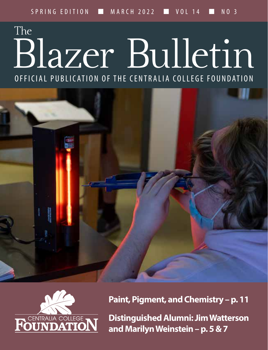## Blazer Bulletin OFFICIAL PUBLICATION OF THE CENTRALIA COLLEGE FOUNDATION The





**Paint, Pigment, and Chemistry – p. 11**

**Distinguished Alumni: Jim Watterson and Marilyn Weinstein – p. 5 & 7**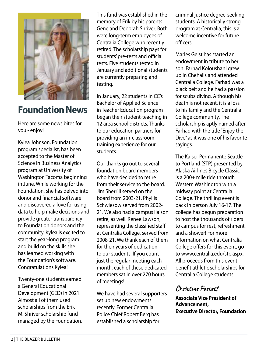

### **Foundation News**

Here are some news bites for you - enjoy!

Kylea Johnson, Foundation program specialist, has been accepted to the Master of Science in Business Analytics program at University of Washington Tacoma beginning in June. While working for the Foundation, she has delved into donor and financial software and discovered a love for using data to help make decisions and provide greater transparency to Foundation donors and the community. Kylea is excited to start the year-long program and build on the skills she has learned working with the Foundation's software. Congratulations Kylea!

Twenty-one students earned a General Educational Development (GED) in 2021. Almost all of them used scholarships from the Erik M. Shriver scholarship fund managed by the Foundation. This fund was established in the memory of Erik by his parents Gene and Deborah Shriver. Both were long-term employees of Centralia College who recently retired. The scholarship pays for students' pre-tests and official tests. Five students tested in January and additional students are currently preparing and testing.

In January, 22 students in CC's Bachelor of Applied Science in Teacher Education program began their student-teaching in 12 area school districts. Thanks to our education partners for providing an in-classroom training experience for our students.

Our thanks go out to several foundation board members who have decided to retire from their service to the board. Jim Sherrill served on the board from 2003-21. Phyllis Schwiesow served from 2002- 21. We also had a campus liaison retire, as well. Renee Lawson, representing the classified staff at Centralia College, served from 2008-21. We thank each of them for their years of dedication to our students. If you count just the regular meeting each month, each of these dedicated members sat in over 270 hours of meetings!

We have had several supporters set up new endowments recently. Former Centralia Police Chief Robert Berg has established a scholarship for

criminal justice degree-seeking students. A historically strong program at Centralia, this is a welcome incentive for future officers.

Marles Geist has started an endowment in tribute to her son. Farhad Koloushani grew up in Chehalis and attended Centralia College. Farhad was a black belt and he had a passion for scuba diving. Although his death is not recent, it is a loss to his family and the Centralia College community. The scholarship is aptly named after Farhad with the title "Enjoy the Dive" as it was one of his favorite sayings.

The Kaiser Permanente Seattle to Portland (STP) presented by Alaska Airlines Bicycle Classic is a 200+ mile ride through Western Washington with a midway point at Centralia College. The thrilling event is back in person July 16-17. The college has begun preparation to host the thousands of riders to campus for rest, refreshment, and a shower! For more information on what Centralia College offers for this event, go to www.centralia.edu/stp.aspx. All proceeds from this event benefit athletic scholarships for Centralia College students.

#### **Christine Fossett**

**Associate Vice President of Advancement, Executive Director, Foundation**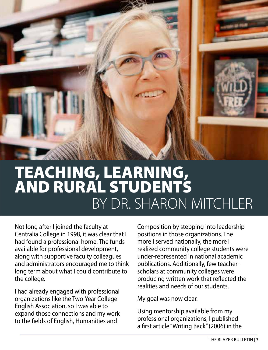

## BY DR. SHARON MITCHLER TEACHING, LEARNING, AND RURAL STUDENTS

Not long after I joined the faculty at Centralia College in 1998, it was clear that I had found a professional home. The funds available for professional development, along with supportive faculty colleagues and administrators encouraged me to think long term about what I could contribute to the college.

I had already engaged with professional organizations like the Two-Year College English Association, so I was able to expand those connections and my work to the fields of English, Humanities and

Composition by stepping into leadership positions in those organizations. The more I served nationally, the more I realized community college students were under-represented in national academic publications. Additionally, few teacherscholars at community colleges were producing written work that reflected the realities and needs of our students.

My goal was now clear.

Using mentorship available from my professional organizations, I published a first article "Writing Back" (2006) in the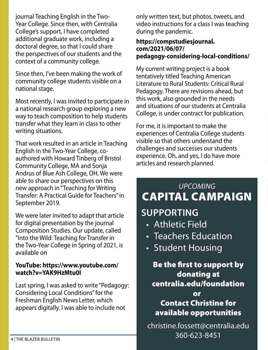journal Teaching English in the Two-Year College. Since then, with Centralia College's support, I have completed additional graduate work, including a doctoral degree, so that I could share the perspectives of our students and the context of a community college.

Since then, I've been making the work of community college students visible on a national stage.

Most recently, I was invited to participate in a national research group exploring a new way to teach composition to help students transfer what they learn in class to other writing situations.

That work resulted in an article in Teaching English in the Two-Year College, coauthored with Howard Tinberg of Bristol Community College, MA and Sonja Andrus of Blue Ash College, OH. We were able to share our perspectives on this new approach in "Teaching for Writing Transfer: A Practical Guide for Teachers" in September 2019.

We were later invited to adapt that article for digital presentation by the journal Composition Studies. Our update, called "Into the Wild: Teaching for Transfer in the Two-Year College in Spring of 2021, is available on

#### **YouTube: https://www.youtube.com/ watch?v=YAK9HzMtu0I**

Last spring, I was asked to write "Pedagogy: Considering Local Conditions" for the Freshman English News Letter, which appears digitally. I was able to include not

only written text, but photos, tweets, and video instructions for a class I was teaching during the pandemic.

#### **https://compstudiesjournal. com/2021/06/07/ pedagogy-considering-local-conditions/**

My current writing project is a book tentatively titled Teaching American Literature to Rural Students: Critical Rural Pedagogy. There are revisions ahead, but this work, also grounded in the needs and situations of our students at Centralia College, is under contract for publication.

For me, it is important to make the experiences of Centralia College students visible so that others understand the challenges and successes our students experience. Oh, and yes, I do have more articles and research planned.

## *UPCOMING* CAPITAL CAMPAIGN

## **SUPPORTING**

- Athletic Field
- Teachers Education
- Student Housing

Be the first to support by donating at centralia.edu/foundation or

Contact Christine for available opportunities

christine.fossett@centralia.edu 360-623-8451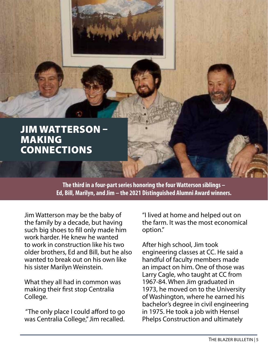

**The third in a four-part series honoring the four Watterson siblings – Ed, Bill, Marilyn, and Jim – the 2021 Distinguished Alumni Award winners.**

Jim Watterson may be the baby of the family by a decade, but having such big shoes to fill only made him work harder. He knew he wanted to work in construction like his two older brothers, Ed and Bill, but he also wanted to break out on his own like his sister Marilyn Weinstein.

What they all had in common was making their first stop Centralia College.

 "The only place I could afford to go was Centralia College," Jim recalled.

"I lived at home and helped out on the farm. It was the most economical option."

After high school, Jim took engineering classes at CC. He said a handful of faculty members made an impact on him. One of those was Larry Cagle, who taught at CC from 1967-84. When Jim graduated in 1973, he moved on to the University of Washington, where he earned his bachelor's degree in civil engineering in 1975. He took a job with Hensel Phelps Construction and ultimately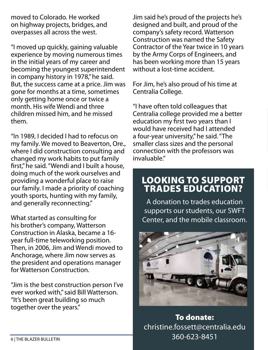moved to Colorado. He worked on highway projects, bridges, and overpasses all across the west.

"I moved up quickly, gaining valuable experience by moving numerous times in the initial years of my career and becoming the youngest superintendent in company history in 1978," he said. But, the success came at a price. Jim was gone for months at a time, sometimes only getting home once or twice a month. His wife Wendi and three children missed him, and he missed them.

"In 1989, I decided I had to refocus on my family. We moved to Beaverton, Ore., where I did construction consulting and changed my work habits to put family first," he said. "Wendi and I built a house, doing much of the work ourselves and providing a wonderful place to raise our family. I made a priority of coaching youth sports, hunting with my family, and generally reconnecting."

What started as consulting for his brother's company, Watterson Construction in Alaska, became a 16 year full-time teleworking position. Then, in 2006, Jim and Wendi moved to Anchorage, where Jim now serves as the president and operations manager for Watterson Construction.

"Jim is the best construction person I've ever worked with," said Bill Watterson. "It's been great building so much together over the years."

Jim said he's proud of the projects he's designed and built, and proud of the company's safety record. Watterson Construction was named the Safety Contractor of the Year twice in 10 years by the Army Corps of Engineers, and has been working more than 15 years without a lost-time accident.

For Jim, he's also proud of his time at Centralia College.

"I have often told colleagues that Centralia college provided me a better education my first two years than I would have received had I attended a four-year university," he said. "The smaller class sizes and the personal connection with the professors was invaluable."

#### LOOKING TO SUPPORT TRADES EDUCATION?

A donation to trades education supports our students, our SWFT Center, and the mobile classroom.



To donate: christine.fossett@centralia.edu 360-623-8451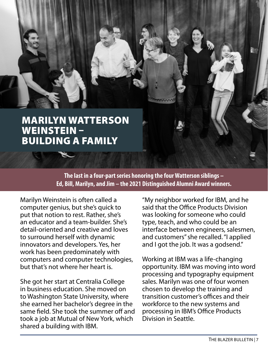

**The last in a four-part series honoring the four Watterson siblings – Ed, Bill, Marilyn, and Jim – the 2021 Distinguished Alumni Award winners.** 

Marilyn Weinstein is often called a computer genius, but she's quick to put that notion to rest. Rather, she's an educator and a team-builder. She's detail-oriented and creative and loves to surround herself with dynamic innovators and developers. Yes, her work has been predominately with computers and computer technologies, but that's not where her heart is.

She got her start at Centralia College in business education. She moved on to Washington State University, where she earned her bachelor's degree in the same field. She took the summer off and took a job at Mutual of New York, which shared a building with IBM.

"My neighbor worked for IBM, and he said that the Office Products Division was looking for someone who could type, teach, and who could be an interface between engineers, salesmen, and customers" she recalled. "I applied and I got the job. It was a godsend."

Working at IBM was a life-changing opportunity. IBM was moving into word processing and typography equipment sales. Marilyn was one of four women chosen to develop the training and transition customer's offices and their workforce to the new systems and processing in IBM's Office Products Division in Seattle.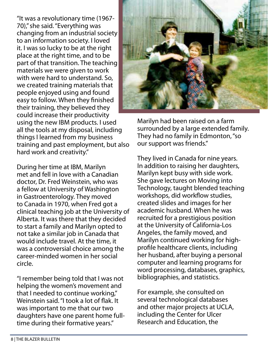"It was a revolutionary time (1967- 70)," she said. "Everything was changing from an industrial society to an information society. I loved it. I was so lucky to be at the right place at the right time, and to be part of that transition. The teaching materials we were given to work with were hard to understand. So, we created training materials that people enjoyed using and found easy to follow. When they finished their training, they believed they could increase their productivity using the new IBM products. I used all the tools at my disposal, including things I learned from my business training and past employment, but also hard work and creativity."

During her time at IBM, Marilyn met and fell in love with a Canadian doctor, Dr. Fred Weinstein, who was a fellow at University of Washington in Gastroenterology. They moved to Canada in 1970, when Fred got a clinical teaching job at the University of Alberta. It was there that they decided to start a family and Marilyn opted to not take a similar job in Canada that would include travel. At the time, it was a controversial choice among the career-minded women in her social circle.

"I remember being told that I was not helping the women's movement and that I needed to continue working," Weinstein said. "I took a lot of flak. It was important to me that our two daughters have one parent home fulltime during their formative years."



Marilyn had been raised on a farm surrounded by a large extended family. They had no family in Edmonton, "so our support was friends."

They lived in Canada for nine years. In addition to raising her daughters, Marilyn kept busy with side work. She gave lectures on Moving into Technology, taught blended teaching workshops, did workflow studies, created slides and images for her academic husband. When he was recruited for a prestigious position at the University of California-Los Angeles, the family moved, and Marilyn continued working for highprofile healthcare clients, including her husband, after buying a personal computer and learning programs for word processing, databases, graphics, bibliographies, and statistics.

For example, she consulted on several technological databases and other major projects at UCLA, including the Center for Ulcer Research and Education, the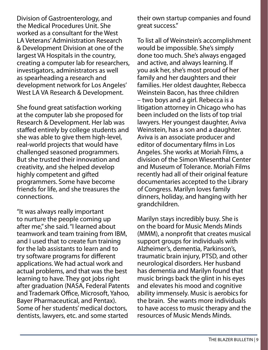Division of Gastroenterology, and the Medical Procedures Unit. She worked as a consultant for the West LA Veterans' Administration Research & Development Division at one of the largest VA Hospitals in the country, creating a computer lab for researchers, investigators, administrators as well as spearheading a research and development network for Los Angeles' West LA VA Research & Development.

She found great satisfaction working at the computer lab she proposed for Research & Development. Her lab was staffed entirely by college students and she was able to give them high-level, real-world projects that would have challenged seasoned programmers. But she trusted their innovation and creativity, and she helped develop highly competent and gifted programmers. Some have become friends for life, and she treasures the connections.

"It was always really important to nurture the people coming up after me," she said. "I learned about teamwork and team training from IBM, and I used that to create fun training for the lab assistants to learn and to try software programs for different applications. We had actual work and actual problems, and that was the best learning to have. They got jobs right after graduation (NASA, Federal Patents and Trademark Office, Microsoft, Yahoo, Bayer Pharmaceutical, and Pentax). Some of her students' medical doctors, dentists, lawyers, etc. and some started

their own startup companies and found great success."

To list all of Weinstein's accomplishment would be impossible. She's simply done too much. She's always engaged and active, and always learning. If you ask her, she's most proud of her family and her daughters and their families. Her oldest daughter, Rebecca Weinstein Bacon, has three children – two boys and a girl. Rebecca is a litigation attorney in Chicago who has been included on the lists of top trial lawyers. Her youngest daughter, Aviva Weinstein, has a son and a daughter. Aviva is an associate producer and editor of documentary films in Los Angeles. She works at Moriah Films, a division of the Simon Wiesenthal Center and Museum of Tolerance. Moriah Films recently had all of their original feature documentaries accepted to the Library of Congress. Marilyn loves family dinners, holiday, and hanging with her grandchildren.

Marilyn stays incredibly busy. She is on the board for Music Mends Minds (MMM), a nonprofit that creates musical support groups for individuals with Alzheimer's, dementia, Parkinson's, traumatic brain injury, PTSD, and other neurological disorders. Her husband has dementia and Marilyn found that music brings back the glint in his eyes and elevates his mood and cognitive ability immensely. Music is aerobics for the brain. She wants more individuals to have access to music therapy and the resources of Music Mends Minds.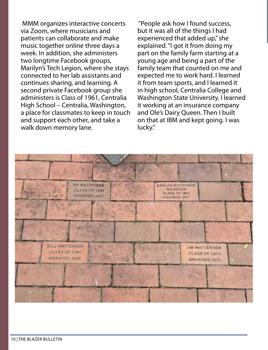via Zoom, where musicians and patients can collaborate and make music together online three days a week. In addition, she administers two longtime Facebook groups, Marilyn's Tech Legion, where she stays connected to her lab assistants and continues sharing, and learning. A second private Facebook group she administers is Class of 1961, Centralia High School – Centralia, Washington, a place for classmates to keep in touch and support each other, and take a walk down memory lane.

MMM organizes interactive concerts "People ask how I found success,<br>via Zoom, where musicians and but it was all of the things I had<br>patients can collaborate and make serverienced that added un"she "People ask how I found success, but it was all of the things I had experienced that added up," she explained. "I got it from doing my part on the family farm starting at a young age and being a part of the family team that counted on me and expected me to work hard. I learned it from team sports, and I learned it in high school, Centralia College and Washington State University. I learned it working at an insurance company and Ole's Dairy Queen. Then I built on that at IBM and kept going. I was lucky."

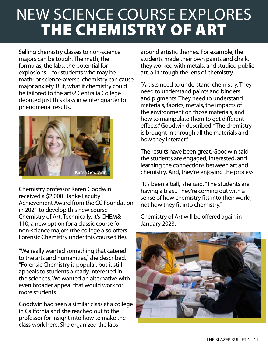## NEW SCIENCE COURSE EXPLORES THE CHEMISTRY OF ART

Selling chemistry classes to non-science majors can be tough. The math, the formulas, the labs, the potential for explosions…for students who may be math- or science-averse, chemistry can cause major anxiety. But, what if chemistry could be tailored to the arts? Centralia College debuted just this class in winter quarter to phenomenal results.



Chemistry professor Karen Goodwin received a \$2,000 Hanke Faculty Achievement Award from the CC Foundation in 2021 to develop this new course – Chemistry of Art. Technically, it's CHEM& 110, a new option for a classic course for non-science majors (the college also offers Forensic Chemistry under this course title).

"We really wanted something that catered to the arts and humanities," she described. "Forensic Chemistry is popular, but it still appeals to students already interested in the sciences. We wanted an alternative with even broader appeal that would work for more students."

Goodwin had seen a similar class at a college in California and she reached out to the professor for insight into how to make the class work here. She organized the labs

around artistic themes. For example, the students made their own paints and chalk, they worked with metals, and studied public art, all through the lens of chemistry.

"Artists need to understand chemistry. They need to understand paints and binders and pigments. They need to understand materials, fabrics, metals, the impacts of the environment on those materials, and how to manipulate them to get different effects," Goodwin described. "The chemistry is brought in through all the materials and how they interact."

The results have been great. Goodwin said the students are engaged, interested, and learning the connections between art and chemistry. And, they're enjoying the process.

"It's been a ball," she said. "The students are having a blast. They're coming out with a sense of how chemistry fits into their world, not how they fit into chemistry."

Chemistry of Art will be offered again in January 2023.

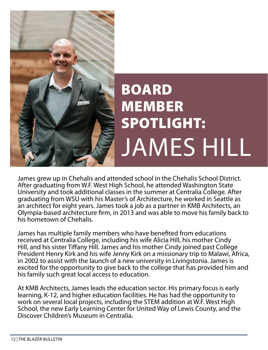

# BOARD MEMBER SPOTLIGHT: JAMES HILL

James grew up in Chehalis and attended school in the Chehalis School District. After graduating from W.F. West High School, he attended Washington State University and took additional classes in the summer at Centralia College. After graduating from WSU with his Master's of Architecture, he worked in Seattle as an architect for eight years. James took a job as a partner in KMB Architects, an Olympia-based architecture firm, in 2013 and was able to move his family back to his hometown of Chehalis.

James has multiple family members who have benefited from educations received at Centralia College, including his wife Alicia Hill, his mother Cindy Hill, and his sister Tiffany Hill. James and his mother Cindy joined past College President Henry Kirk and his wife Jenny Kirk on a missionary trip to Malawi, Africa, in 2002 to assist with the launch of a new university in Livingstonia. James is excited for the opportunity to give back to the college that has provided him and his family such great local access to education.

At KMB Architects, James leads the education sector. His primary focus is early learning, K-12, and higher education facilities. He has had the opportunity to work on several local projects, including the STEM addition at W.F. West High School, the new Early Learning Center for United Way of Lewis County, and the Discover Children's Museum in Centralia.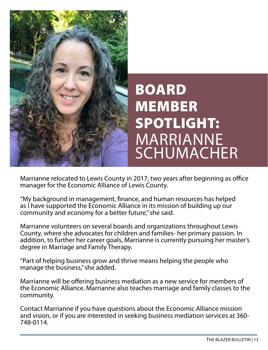

## BOARD MEMBER SPOTLIGHT: MARRIANNE SCHUMACHER

Marrianne relocated to Lewis County in 2017, two years after beginning as office manager for the Economic Alliance of Lewis County.

"My background in management, finance, and human resources has helped as I have supported the Economic Alliance in its mission of building up our community and economy for a better future," she said.

Marrianne volunteers on several boards and organizations throughout Lewis County, where she advocates for children and families- her primary passion. In addition, to further her career goals, Marrianne is currently pursuing her master's degree in Marriage and Family Therapy.

"Part of helping business grow and thrive means helping the people who manage the business," she added.

Marrianne will be offering business mediation as a new service for members of the Economic Alliance. Marrianne also teaches marriage and family classes to the community.

Contact Marrianne if you have questions about the Economic Alliance mission and vision, or if you are interested in seeking business mediation services at 360- 748-0114.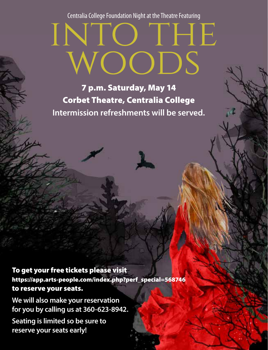Centralia College Foundation Night at the Theatre Featuring

# INTO THE<br>WOODS

7 p.m. Saturday, May 14 Corbet Theatre, Centralia College **Intermission refreshments will be served.** NEW STAFF WAS ARRESTED FOR DESCRIPTION OF A REPORT OF A STAFF WAS ARRESTED FOR DESCRIPTION OF A STAFF WAS ARRESTED FOR DESCRIPTION OF A STAFF WAS ARRESTED FOR A STAFF WAS ARRESTED FOR A STAFF WAS ARRESTED FOR A STAFF WAS A

To get your free tickets please visit https://app.arts-people.com/index.php?perf\_special=568746 to reserve your seats.

**We will also make your reservation for you by calling us at 360-623-8942. Seating is limited so be sure to reserve your seats early!**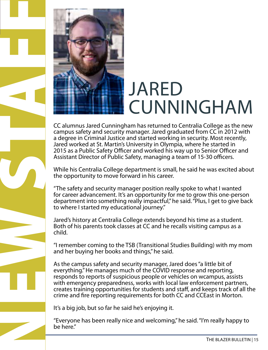

NEW STAFF

# JARED CUNNINGHAM

CC alumnus Jared Cunningham has returned to Centralia College as the new campus safety and security manager. Jared graduated from CC in 2012 with a degree in Criminal Justice and started working in security. Most recently, Jared worked at St. Martin's University in Olympia, where he started in 2015 as a Public Safety Officer and worked his way up to Senior Officer and Assistant Director of Public Safety, managing a team of 15-30 officers.

While his Centralia College department is small, he said he was excited about the opportunity to move forward in his career.

"The safety and security manager position really spoke to what I wanted for career advancement. It's an opportunity for me to grow this one-person department into something really impactful," he said. "Plus, I get to give back to where I started my educational journey."

Jared's history at Centralia College extends beyond his time as a student. Both of his parents took classes at CC and he recalls visiting campus as a child.

"I remember coming to the TSB (Transitional Studies Building) with my mom and her buying her books and things," he said.

As the campus safety and security manager, Jared does "a little bit of everything." He manages much of the COVID response and reporting, responds to reports of suspicious people or vehicles on wcampus, assists with emergency preparedness, works with local law enforcement partners, creates training opportunities for students and staff, and keeps track of all the crime and fire reporting requirements for both CC and CCEast in Morton.

It's a big job, but so far he said he's enjoying it.

"Everyone has been really nice and welcoming," he said. "I'm really happy to be here."